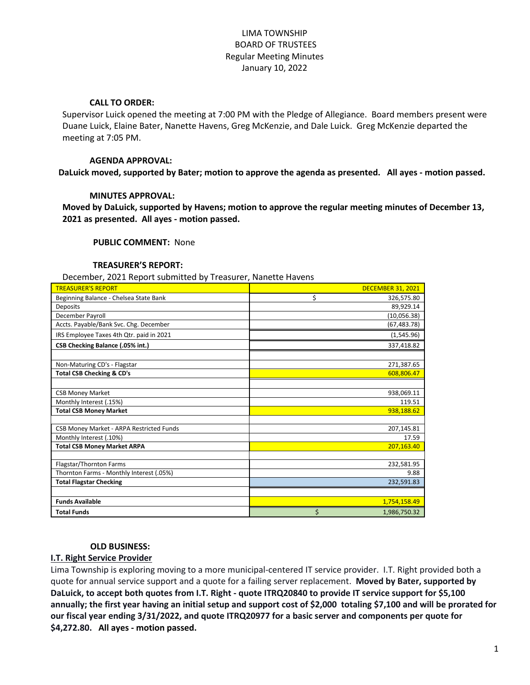# LIMA TOWNSHIP BOARD OF TRUSTEES Regular Meeting Minutes January 10, 2022

## **CALL TO ORDER:**

Supervisor Luick opened the meeting at 7:00 PM with the Pledge of Allegiance. Board members present were Duane Luick, Elaine Bater, Nanette Havens, Greg McKenzie, and Dale Luick. Greg McKenzie departed the meeting at 7:05 PM.

## **AGENDA APPROVAL:**

**DaLuick moved, supported by Bater; motion to approve the agenda as presented. All ayes - motion passed.**

## **MINUTES APPROVAL:**

**Moved by DaLuick, supported by Havens; motion to approve the regular meeting minutes of December 13, 2021 as presented. All ayes - motion passed.**

## **PUBLIC COMMENT:** None

### **TREASURER'S REPORT:**

December, 2021 Report submitted by Treasurer, Nanette Havens

| <b>TREASURER'S REPORT</b>                                           | <b>DECEMBER 31, 2021</b> |
|---------------------------------------------------------------------|--------------------------|
| Beginning Balance - Chelsea State Bank                              | \$<br>326,575.80         |
| Deposits                                                            | 89,929.14                |
| December Payroll                                                    | (10,056.38)              |
| Accts. Payable/Bank Svc. Chg. December                              | (67, 483.78)             |
| IRS Employee Taxes 4th Qtr. paid in 2021                            | (1,545.96)               |
| CSB Checking Balance (.05% int.)                                    | 337,418.82               |
|                                                                     |                          |
| Non-Maturing CD's - Flagstar                                        | 271,387.65               |
| <b>Total CSB Checking &amp; CD's</b>                                | 608,806.47               |
|                                                                     |                          |
| <b>CSB Money Market</b>                                             | 938,069.11               |
| Monthly Interest (.15%)                                             | 119.51                   |
| <b>Total CSB Money Market</b>                                       | 938,188.62               |
|                                                                     |                          |
| CSB Money Market - ARPA Restricted Funds<br>Monthly Interest (.10%) | 207,145.81<br>17.59      |
| <b>Total CSB Money Market ARPA</b>                                  | 207,163.40               |
|                                                                     |                          |
| Flagstar/Thornton Farms                                             | 232,581.95               |
| Thornton Farms - Monthly Interest (.05%)                            | 9.88                     |
| <b>Total Flagstar Checking</b>                                      | 232,591.83               |
|                                                                     |                          |
| <b>Funds Available</b>                                              | 1,754,158.49             |
| <b>Total Funds</b>                                                  | \$<br>1,986,750.32       |

### **OLD BUSINESS:**

# **I.T. Right Service Provider**

Lima Township is exploring moving to a more municipal-centered IT service provider. I.T. Right provided both a quote for annual service support and a quote for a failing server replacement. **Moved by Bater, supported by DaLuick, to accept both quotes from I.T. Right - quote ITRQ20840 to provide IT service support for \$5,100 annually; the first year having an initial setup and support cost of \$2,000 totaling \$7,100 and will be prorated for our fiscal year ending 3/31/2022, and quote ITRQ20977 for a basic server and components per quote for \$4,272.80. All ayes - motion passed.**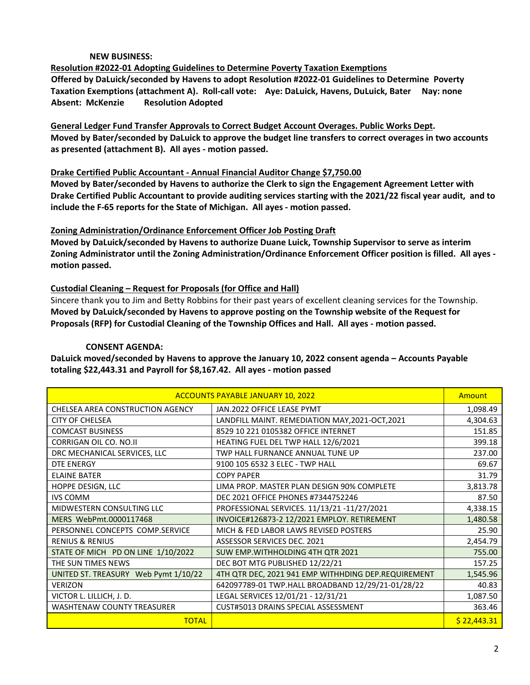# **NEW BUSINESS:**

**Resolution #2022-01 Adopting Guidelines to Determine Poverty Taxation Exemptions Offered by DaLuick/seconded by Havens to adopt Resolution #2022-01 Guidelines to Determine Poverty Taxation Exemptions (attachment A). Roll-call vote: Aye: DaLuick, Havens, DuLuick, Bater Nay: none Absent: McKenzie Resolution Adopted** 

**General Ledger Fund Transfer Approvals to Correct Budget Account Overages. Public Works Dept. Moved by Bater/seconded by DaLuick to approve the budget line transfers to correct overages in two accounts as presented (attachment B). All ayes - motion passed.**

## **Drake Certified Public Accountant - Annual Financial Auditor Change \$7,750.00**

**Moved by Bater/seconded by Havens to authorize the Clerk to sign the Engagement Agreement Letter with Drake Certified Public Accountant to provide auditing services starting with the 2021/22 fiscal year audit, and to include the F-65 reports for the State of Michigan. All ayes - motion passed.**

# **Zoning Administration/Ordinance Enforcement Officer Job Posting Draft**

**Moved by DaLuick/seconded by Havens to authorize Duane Luick, Township Supervisor to serve as interim Zoning Administrator until the Zoning Administration/Ordinance Enforcement Officer position is filled. All ayes motion passed.**

## **Custodial Cleaning – Request for Proposals (for Office and Hall)**

Sincere thank you to Jim and Betty Robbins for their past years of excellent cleaning services for the Township. **Moved by DaLuick/seconded by Havens to approve posting on the Township website of the Request for Proposals (RFP) for Custodial Cleaning of the Township Offices and Hall. All ayes - motion passed.**

## **CONSENT AGENDA:**

**DaLuick moved/seconded by Havens to approve the January 10, 2022 consent agenda – Accounts Payable totaling \$22,443.31 and Payroll for \$8,167.42. All ayes - motion passed**

| <b>ACCOUNTS PAYABLE JANUARY 10, 2022</b> |                                                     |             |
|------------------------------------------|-----------------------------------------------------|-------------|
| CHELSEA AREA CONSTRUCTION AGENCY         | JAN.2022 OFFICE LEASE PYMT                          | 1,098.49    |
| <b>CITY OF CHELSEA</b>                   | LANDFILL MAINT. REMEDIATION MAY, 2021-OCT, 2021     | 4,304.63    |
| <b>COMCAST BUSINESS</b>                  | 8529 10 221 0105382 OFFICE INTERNET                 | 151.85      |
| <b>CORRIGAN OIL CO. NO.II</b>            | HEATING FUEL DEL TWP HALL 12/6/2021                 | 399.18      |
| DRC MECHANICAL SERVICES, LLC             | TWP HALL FURNANCE ANNUAL TUNE UP                    | 237.00      |
| DTE ENERGY                               | 9100 105 6532 3 ELEC - TWP HALL                     | 69.67       |
| <b>ELAINE BATER</b>                      | <b>COPY PAPER</b>                                   | 31.79       |
| HOPPE DESIGN, LLC                        | LIMA PROP. MASTER PLAN DESIGN 90% COMPLETE          | 3,813.78    |
| <b>IVS COMM</b>                          | DEC 2021 OFFICE PHONES #7344752246                  | 87.50       |
| MIDWESTERN CONSULTING LLC                | PROFESSIONAL SERVICES. 11/13/21 -11/27/2021         | 4,338.15    |
| MERS WebPmt.0000117468                   | INVOICE#126873-2 12/2021 EMPLOY. RETIREMENT         | 1,480.58    |
| PERSONNEL CONCEPTS COMP.SERVICE          | MICH & FED LABOR LAWS REVISED POSTERS               | 25.90       |
| <b>RENIUS &amp; RENIUS</b>               | ASSESSOR SERVICES DEC. 2021                         | 2,454.79    |
| STATE OF MICH PD ON LINE 1/10/2022       | SUW EMP. WITHHOLDING 4TH QTR 2021                   | 755.00      |
| THE SUN TIMES NEWS                       | DEC BOT MTG PUBLISHED 12/22/21                      | 157.25      |
| UNITED ST. TREASURY Web Pymt 1/10/22     | 4TH QTR DEC, 2021 941 EMP WITHHDING DEP.REQUIREMENT | 1,545.96    |
| <b>VERIZON</b>                           | 642097789-01 TWP.HALL BROADBAND 12/29/21-01/28/22   | 40.83       |
| VICTOR L. LILLICH, J. D.                 | LEGAL SERVICES 12/01/21 - 12/31/21                  | 1,087.50    |
| <b>WASHTENAW COUNTY TREASURER</b>        | <b>CUST#5013 DRAINS SPECIAL ASSESSMENT</b>          | 363.46      |
| <b>TOTAL</b>                             |                                                     | \$22,443.31 |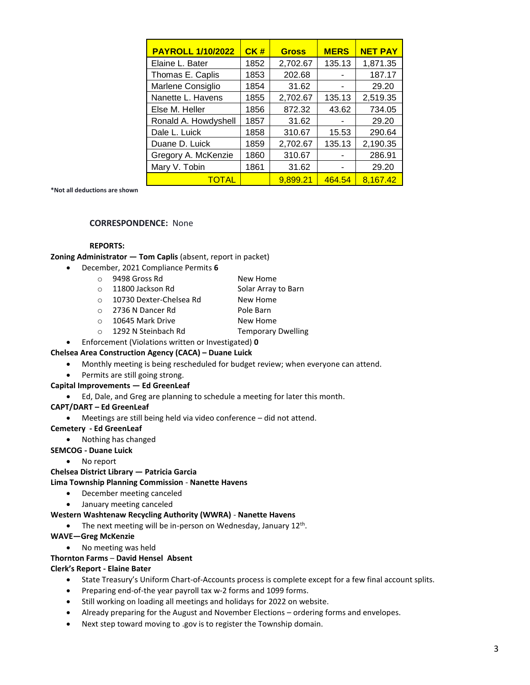| <b>PAYROLL 1/10/2022</b> | CK#  | <b>Gross</b> | <b>MERS</b> | <b>NET PAY</b> |
|--------------------------|------|--------------|-------------|----------------|
| Elaine L. Bater          | 1852 | 2,702.67     | 135.13      | 1,871.35       |
| Thomas E. Caplis         | 1853 | 202.68       |             | 187.17         |
| Marlene Consiglio        | 1854 | 31.62        |             | 29.20          |
| Nanette L. Havens        | 1855 | 2,702.67     | 135.13      | 2,519.35       |
| Else M. Heller           | 1856 | 872.32       | 43.62       | 734.05         |
| Ronald A. Howdyshell     | 1857 | 31.62        |             | 29.20          |
| Dale L. Luick            | 1858 | 310.67       | 15.53       | 290.64         |
| Duane D. Luick           | 1859 | 2,702.67     | 135.13      | 2,190.35       |
| Gregory A. McKenzie      | 1860 | 310.67       |             | 286.91         |
| Mary V. Tobin            | 1861 | 31.62        |             | 29.20          |
| <b>TOTAL</b>             |      | 9,899.21     | 464.54      | 8,167.42       |

**\*Not all deductions are shown**

### **CORRESPONDENCE:** None

### **REPORTS:**

**Zoning Administrator — Tom Caplis** (absent, report in packet)

- December, 2021 Compliance Permits **6**
	- o 9498 Gross Rd New Home
	- o 11800 Jackson Rd Solar Array to Barn
	- o 10730 Dexter-Chelsea Rd New Home
	- o 2736 N Dancer Rd
	Borow Pole Barn
	- o 10645 Mark Drive New Home
	- o 1292 N Steinbach Rd Temporary Dwelling
		-
- Enforcement (Violations written or Investigated) **0**

### **Chelsea Area Construction Agency (CACA) – Duane Luick**

- Monthly meeting is being rescheduled for budget review; when everyone can attend.
- Permits are still going strong.

#### **Capital Improvements — Ed GreenLeaf**

Ed, Dale, and Greg are planning to schedule a meeting for later this month.

#### **CAPT/DART – Ed GreenLeaf**

Meetings are still being held via video conference – did not attend.

#### **Cemetery - Ed GreenLeaf**

• Nothing has changed

#### **SEMCOG - Duane Luick**

No report

#### **Chelsea District Library — Patricia Garcia**

#### **Lima Township Planning Commission** - **Nanette Havens**

- December meeting canceled
- January meeting canceled

#### **Western Washtenaw Recycling Authority (WWRA)** - **Nanette Havens**

- The next meeting will be in-person on Wednesday, January  $12^{th}$ .
- **WAVE—Greg McKenzie**
	- No meeting was held

### **Thornton Farms** – **David Hensel Absent**

#### **Clerk's Report - Elaine Bater**

- State Treasury's Uniform Chart-of-Accounts process is complete except for a few final account splits.
- Preparing end-of-the year payroll tax w-2 forms and 1099 forms.
- Still working on loading all meetings and holidays for 2022 on website.
- Already preparing for the August and November Elections ordering forms and envelopes.
- Next step toward moving to .gov is to register the Township domain.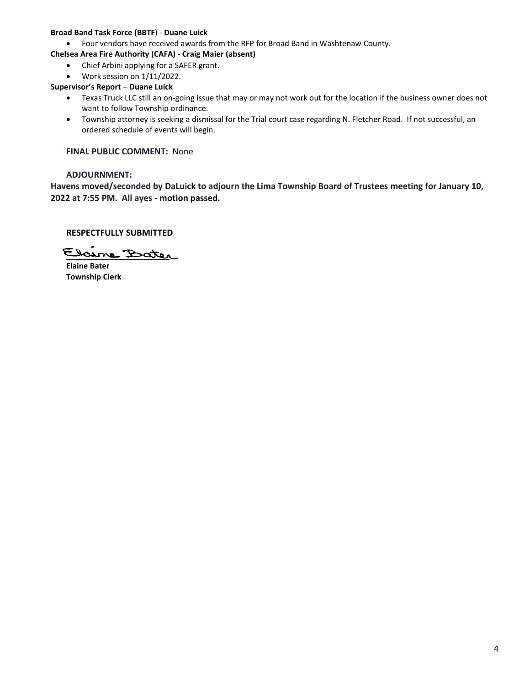### **Broad Band Task Force (BBTF**) - **Duane Luick**

- Four vendors have received awards from the RFP for Broad Band in Washtenaw County.
- **Chelsea Area Fire Authority (CAFA) Craig Maier (absent)**
	- Chief Arbini applying for a SAFER grant.
	- Work session on 1/11/2022.

## **Supervisor's Report** – **Duane Luick**

- Texas Truck LLC still an on-going issue that may or may not work out for the location if the business owner does not want to follow Township ordinance.
- Township attorney is seeking a dismissal for the Trial court case regarding N. Fletcher Road. If not successful, an ordered schedule of events will begin.

**FINAL PUBLIC COMMENT:** None

## **ADJOURNMENT:**

**Havens moved/seconded by DaLuick to adjourn the Lima Township Board of Trustees meeting for January 10, 2022 at 7:55 PM. All ayes - motion passed.**

# **RESPECTFULLY SUBMITTED**

**\_\_\_\_\_\_\_\_\_\_\_\_\_\_\_\_\_\_\_\_\_\_\_\_**

**Elaine Bater Township Clerk**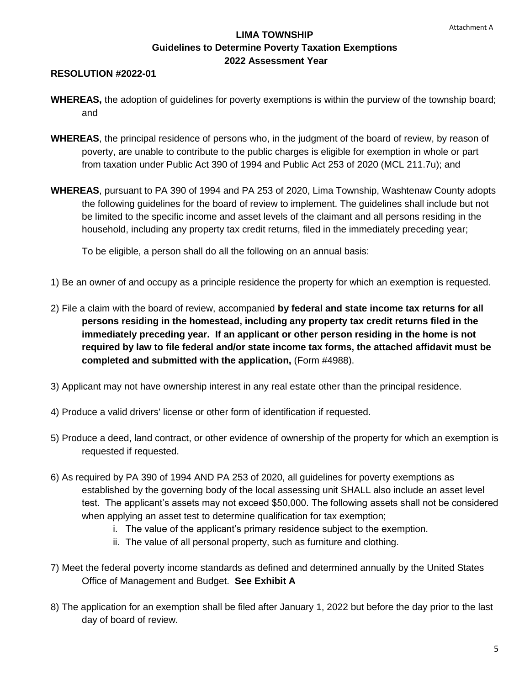# **LIMA TOWNSHIP Guidelines to Determine Poverty Taxation Exemptions 2022 Assessment Year**

# **RESOLUTION #2022-01**

- **WHEREAS,** the adoption of guidelines for poverty exemptions is within the purview of the township board; and
- **WHEREAS**, the principal residence of persons who, in the judgment of the board of review, by reason of poverty, are unable to contribute to the public charges is eligible for exemption in whole or part from taxation under Public Act 390 of 1994 and Public Act 253 of 2020 (MCL 211.7u); and
- **WHEREAS**, pursuant to PA 390 of 1994 and PA 253 of 2020, Lima Township, Washtenaw County adopts the following guidelines for the board of review to implement. The guidelines shall include but not be limited to the specific income and asset levels of the claimant and all persons residing in the household, including any property tax credit returns, filed in the immediately preceding year;

To be eligible, a person shall do all the following on an annual basis:

- 1) Be an owner of and occupy as a principle residence the property for which an exemption is requested.
- 2) File a claim with the board of review, accompanied **by federal and state income tax returns for all persons residing in the homestead, including any property tax credit returns filed in the immediately preceding year. If an applicant or other person residing in the home is not required by law to file federal and/or state income tax forms, the attached affidavit must be completed and submitted with the application,** (Form #4988).
- 3) Applicant may not have ownership interest in any real estate other than the principal residence.
- 4) Produce a valid drivers' license or other form of identification if requested.
- 5) Produce a deed, land contract, or other evidence of ownership of the property for which an exemption is requested if requested.
- 6) As required by PA 390 of 1994 AND PA 253 of 2020, all guidelines for poverty exemptions as established by the governing body of the local assessing unit SHALL also include an asset level test. The applicant's assets may not exceed \$50,000. The following assets shall not be considered when applying an asset test to determine qualification for tax exemption;
	- i. The value of the applicant's primary residence subject to the exemption.
	- ii. The value of all personal property, such as furniture and clothing.
- 7) Meet the federal poverty income standards as defined and determined annually by the United States Office of Management and Budget. **See Exhibit A**
- 8) The application for an exemption shall be filed after January 1, 2022 but before the day prior to the last day of board of review.